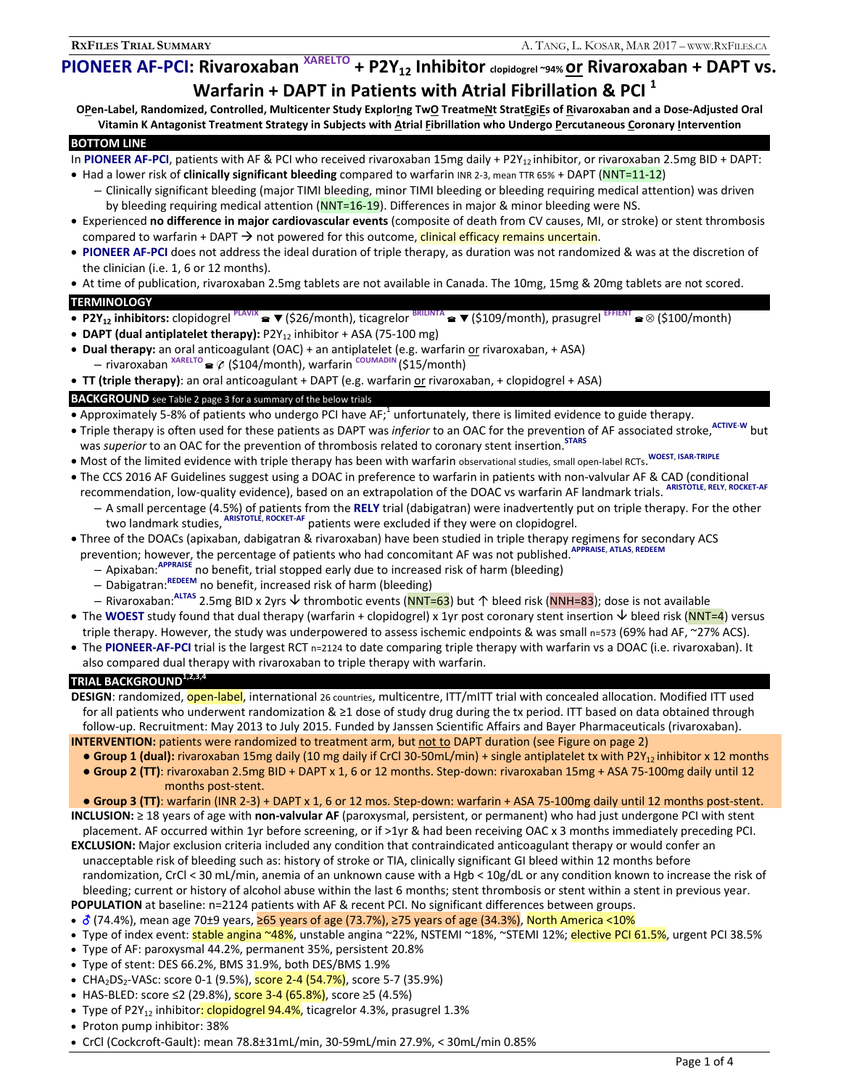# **PIONEER AF-PCI: Rivaroxaban**  $XARELTO$  + P2Y<sub>12</sub> Inhibitor clopidogrel ~94% <u>or</u> Rivaroxaban + DAPT vs.

**Warfarin + DAPT in Patients with Atrial Fibrillation & PCI<sup>1</sup><br>O<u>P</u>en-Label, Randomized, Controlled, Multicenter Study Explor<u>i</u>ng Tw<u>O</u> Treatme<u>N</u>t Strat<u>EgiE</u>s of <u>R</u>ivaroxaban and a Dose-Adjusted Oral** Vitamin K Antagonist Treatment Strategy in Subjects with Atrial Fibrillation who Undergo Percutaneous Coronary Intervention

### **BOTTOM LINE**

In PIONEER AF-PCI, patients with AF & PCI who received rivaroxaban 15mg daily + P2Y<sub>12</sub> inhibitor, or rivaroxaban 2.5mg BID + DAPT:

- Had a lower risk of **clinically significant bleeding** compared to warfarin INR 2-3, mean TTR 65% + DAPT (NNT=11-12)
	- Clinically significant bleeding (major TIMI bleeding, minor TIMI bleeding or bleeding requiring medical attention) was driven by bleeding requiring medical attention (NNT=16-19). Differences in major & minor bleeding were NS.
- Experienced **no difference in major cardiovascular events** (composite of death from CV causes, MI, or stroke) or stent thrombosis compared to warfarin + DAPT  $\rightarrow$  not powered for this outcome, clinical efficacy remains uncertain.
- **PIONEER AF-PCI** does not address the ideal duration of triple therapy, as duration was not randomized & was at the discretion of the clinician (i.e. 1, 6 or 12 months).
- At time of publication, rivaroxaban 2.5mg tablets are not available in Canada. The 10mg, 15mg & 20mg tablets are not scored.

#### **TERMINOLOGY**

- **P2Y12 inhibitors:** clopidogrel **PLAVIX** (\$26/month), ticagrelor **BRILINTA** (\$109/month), prasugrel **EFFIENT** (\$100/month) • DAPT (dual antiplatelet therapy): P2Y<sub>12</sub> inhibitor + ASA (75-100 mg)
- **Dual therapy:** an oral anticoagulant (OAC) + an antiplatelet (e.g. warfarin or rivaroxaban, + ASA)
- rivaroxaban **XARELTO**  (\$104/month), warfarin **COUMADIN** (\$15/month)
- **TT (triple therapy)**: an oral anticoagulant + DAPT (e.g. warfarin or rivaroxaban, + clopidogrel + ASA)

#### **BACKGROUND** see Table 2 page 3 for a summary of the below trials

- Approximately 5-8% of patients who undergo PCI have AF;<sup>1</sup> unfortunately, there is limited evidence to guide therapy.
- Triple therapy is often used for these patients as DAPT was *inferior* to an OAC for the prevention of AF associated stroke, ACTIVE-W but was *superior* to an OAC for the prevention of thrombosis related to coronary stent insertion.<sup>STARS</sup>
- Most of the limited evidence with triple therapy has been with warfarin observational studies, small open-label RCTs. **WOEST**, **ISAR-TRIPLE**
- The CCS 2016 AF Guidelines suggest using a DOAC in preference to warfarin in patients with non-valvular AF & CAD (conditional recommendation, low-quality evidence), based on an extrapolation of the DOAC vs warfarin AF landmark trials. **ARISTOTLE**, **RELY**, **ROCKET-AF**
	- A small percentage (4.5%) of patients from the **RELY** trial (dabigatran) were inadvertently put on triple therapy. For the other two landmark studies, **ARISTOTLE**, **ROCKET-AF** patients were excluded if they were on clopidogrel.
- Three of the DOACs (apixaban, dabigatran & rivaroxaban) have been studied in triple therapy regimens for secondary ACS prevention; however, the percentage of patients who had concomitant AF was not published.**APPRAISE**, **ATLAS**, **REDEEM**
	- Apixaban:**APPRAISE** no benefit, trial stopped early due to increased risk of harm (bleeding)
	- Dabigatran:**REDEEM** no benefit, increased risk of harm (bleeding)
	- Rivaroxaban:**ALTAS** 2.5mg BID x 2yrs thrombotic events (NNT=63) but ↑ bleed risk (NNH=83); dose is not available
- The WOEST study found that dual therapy (warfarin + clopidogrel) x 1yr post coronary stent insertion  $\vee$  bleed risk (NNT=4) versus triple therapy. However, the study was underpowered to assess ischemic endpoints & was small n=573 (69% had AF, ~27% ACS).
- The **PIONEER-AF-PCI** trial is the largest RCT n=2124 to date comparing triple therapy with warfarin vs a DOAC (i.e. rivaroxaban). It also compared dual therapy with rivaroxaban to triple therapy with warfarin.

## **TRIAL BACKGROUND1,2,3,4**

**DESIGN**: randomized, open-label, international 26 countries, multicentre, ITT/mITT trial with concealed allocation. Modified ITT used for all patients who underwent randomization  $\&$   $\geq$  1 dose of study drug during the tx period. ITT based on data obtained through follow-up. Recruitment: May 2013 to July 2015. Funded by Janssen Scientific Affairs and Bayer Pharmaceuticals (rivaroxaban).

**INTERVENTION:** patients were randomized to treatment arm, but not to DAPT duration (see Figure on page 2) ■ Group 1 (dual): rivaroxaban 15mg daily (10 mg daily if CrCl 30-50mL/min) + single antiplatelet tx with P2Y<sub>12</sub> inhibitor x 12 months

 **● Group 2 (TT)**: rivaroxaban 2.5mg BID + DAPT x 1, 6 or 12 months. Step-down: rivaroxaban 15mg + ASA 75-100mg daily until 12 months post-stent.

 **● Group 3 (TT)**: warfarin (INR 2-3) + DAPT x 1, 6 or 12 mos. Step-down: warfarin + ASA 75-100mg daily until 12 months post-stent. **INCLUSION:** ≥ 18 years of age with **non-valvular AF** (paroxysmal, persistent, or permanent) who had just undergone PCI with stent

- placement. AF occurred within 1yr before screening, or if >1yr & had been receiving OAC x 3 months immediately preceding PCI. **EXCLUSION:** Major exclusion criteria included any condition that contraindicated anticoagulant therapy or would confer an unacceptable risk of bleeding such as: history of stroke or TIA, clinically significant GI bleed within 12 months before randomization, CrCl < 30 mL/min, anemia of an unknown cause with a Hgb < 10g/dL or any condition known to increase the risk of
- bleeding; current or history of alcohol abuse within the last 6 months; stent thrombosis or stent within a stent in previous year. **POPULATION** at baseline: n=2124 patients with AF & recent PCI. No significant differences between groups.
- ∂ (74.4%), mean age 70±9 years, 265 years of age (73.7%), 275 years of age (34.3%), North America <10%
- Type of index event: stable angina ~48%, unstable angina ~22%, NSTEMI ~18%, ~STEMI 12%; elective PCI 61.5%, urgent PCI 38.5%
- Type of AF: paroxysmal 44.2%, permanent 35%, persistent 20.8%
- Type of stent: DES 66.2%, BMS 31.9%, both DES/BMS 1.9%
- CHA<sub>2</sub>DS<sub>2</sub>-VASc: score 0-1 (9.5%), score 2-4 (54.7%), score 5-7 (35.9%)
- + HAS-BLED: score ≤2 (29.8%), score 3-4 (65.8%), score ≥5 (4.5%)
- Type of P2Y<sub>12</sub> inhibitor: clopidogrel 94.4%, ticagrelor 4.3%, prasugrel 1.3%
- Proton pump inhibitor: 38%
- CrCl (Cockcroft-Gault): mean 78.8±31mL/min, 30-59mL/min 27.9%, < 30mL/min 0.85%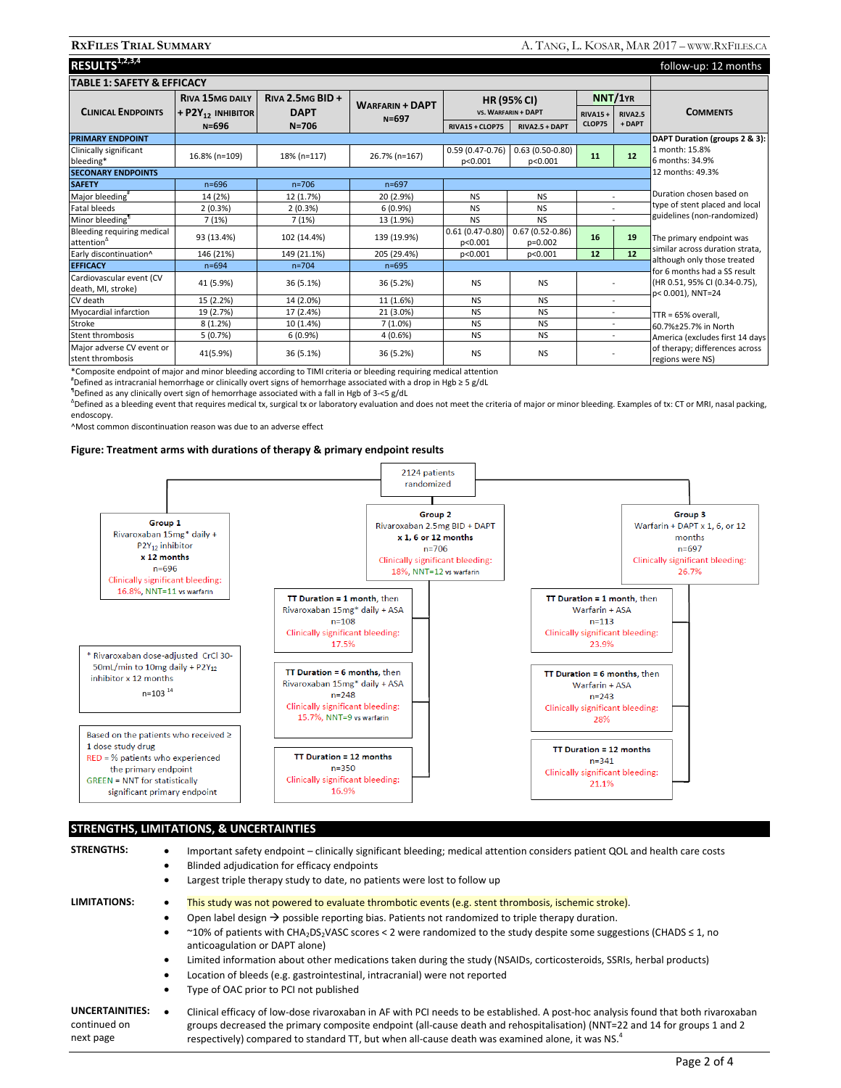| RESULTS <sup>1,2,3,4</sup>                           | follow-up: 12 months                 |                          |                                     |                                           |                                  |                                                             |                          |                                                    |
|------------------------------------------------------|--------------------------------------|--------------------------|-------------------------------------|-------------------------------------------|----------------------------------|-------------------------------------------------------------|--------------------------|----------------------------------------------------|
| <b>TABLE 1: SAFETY &amp; EFFICACY</b>                |                                      |                          |                                     |                                           |                                  |                                                             |                          |                                                    |
|                                                      | <b>RIVA 15MG DAILY</b>               | RIVA 2.5MG BID +         | <b>WARFARIN + DAPT</b><br>$N = 697$ | <b>HR (95% CI)</b><br>VS. WARFARIN + DAPT |                                  | NNT/1YR                                                     |                          |                                                    |
| <b>CLINICAL ENDPOINTS</b>                            | + $P2Y_{12}$ in Hibitor<br>$N = 696$ | <b>DAPT</b><br>$N = 706$ |                                     |                                           |                                  | <b>RIVA15+</b>                                              | <b>RIVA2.5</b>           | <b>COMMENTS</b>                                    |
|                                                      |                                      |                          |                                     | RIVA15 + CLOP75                           | RIVA2.5 + DAPT                   | CLOP75                                                      | + DAPT                   |                                                    |
| <b>PRIMARY ENDPOINT</b>                              | DAPT Duration (groups 2 & 3):        |                          |                                     |                                           |                                  |                                                             |                          |                                                    |
| Clinically significant<br>bleeding*                  | 16.8% (n=109)                        | 18% (n=117)              | 26.7% (n=167)                       | $0.59(0.47-0.76)$<br>p<0.001              | $0.63(0.50 - 0.80)$<br>p<0.001   | 11                                                          | 12                       | 1 month: 15.8%<br>6 months: 34.9%                  |
| <b>SECONARY ENDPOINTS</b>                            |                                      |                          |                                     |                                           |                                  |                                                             |                          | 12 months: 49.3%                                   |
| <b>SAFETY</b>                                        | $n = 696$                            | $n = 706$                | $n = 697$                           |                                           |                                  |                                                             |                          |                                                    |
| Major bleeding <sup>#</sup>                          | 14 (2%)                              | 12 (1.7%)                | 20 (2.9%)                           | <b>NS</b>                                 | <b>NS</b>                        |                                                             |                          | Duration chosen based on                           |
| Fatal bleeds                                         | 2(0.3%)                              | 2(0.3%)                  | 6(0.9%)                             | <b>NS</b>                                 | <b>NS</b>                        |                                                             |                          | type of stent placed and local                     |
| Minor bleeding <sup>1</sup>                          | 7(1%)                                | 7(1%)                    | 13 (1.9%)                           | <b>NS</b>                                 | <b>NS</b>                        |                                                             |                          | guidelines (non-randomized)                        |
| Bleeding requiring medical<br>attention <sup>4</sup> | 93 (13.4%)                           | 102 (14.4%)              | 139 (19.9%)                         | $0.61(0.47 - 0.80)$<br>p<0.001            | $0.67(0.52 - 0.86)$<br>$p=0.002$ | 16                                                          | 19                       | The primary endpoint was                           |
| Early discontinuation^                               | 146 (21%)                            | 149 (21.1%)              | 205 (29.4%)                         | p<0.001                                   | p<0.001                          | 12                                                          | 12                       | similar across duration strata.                    |
| <b>EFFICACY</b>                                      | $n = 694$                            | $n = 704$                | $n = 695$                           |                                           |                                  | although only those treated<br>for 6 months had a SS result |                          |                                                    |
| Cardiovascular event (CV<br>death, MI, stroke)       | 41 (5.9%)                            | 36 (5.1%)                | 36 (5.2%)                           | <b>NS</b>                                 | <b>NS</b>                        |                                                             |                          | (HR 0.51, 95% CI (0.34-0.75),<br>p< 0.001), NNT=24 |
| CV death                                             | 15 (2.2%)                            | 14 (2.0%)                | 11 (1.6%)                           | <b>NS</b>                                 | <b>NS</b>                        |                                                             | $\sim$                   |                                                    |
| Myocardial infarction                                | 19 (2.7%)                            | 17 (2.4%)                | 21 (3.0%)                           | <b>NS</b>                                 | <b>NS</b>                        |                                                             | $\sim$                   | $TTR = 65%$ overall.                               |
| Stroke                                               | 8(1.2%)                              | 10 (1.4%)                | 7(1.0%)                             | <b>NS</b>                                 | <b>NS</b>                        |                                                             | $\overline{\phantom{a}}$ | 60.7%±25.7% in North                               |
| Stent thrombosis                                     | 5(0.7%)                              | 6(0.9%                   | 4(0.6%)                             | <b>NS</b>                                 | <b>NS</b>                        |                                                             | $\sim$                   | America (excludes first 14 days                    |
| Major adverse CV event or<br>stent thrombosis        | 41(5.9%)                             | 36 (5.1%)                | 36 (5.2%)                           | <b>NS</b>                                 | <b>NS</b>                        |                                                             |                          | of therapy; differences across<br>regions were NS) |

\*Composite endpoint of major and minor bleeding according to TIMI criteria or bleeding requiring medical attention #

 $"$ Defined as intracranial hemorrhage or clinically overt signs of hemorrhage associated with a drop in Hgb ≥ 5 g/dL

Defined as any clinically overt sign of hemorrhage associated with a fall in Hgb of 3-<5 g/dL

∆ Defined as a bleeding event that requires medical tx, surgical tx or laboratory evaluation and does not meet the criteria of major or minor bleeding. Examples of tx: CT or MRI, nasal packing, endoscopy.

^Most common discontinuation reason was due to an adverse effect

#### **Figure: Treatment arms with durations of therapy & primary endpoint results**



#### **STRENGTHS, LIMITATIONS, & UNCERTAINTIES**

| <b>STRENGTHS:</b>                                   | Important safety endpoint – clinically significant bleeding; medical attention considers patient QOL and health care costs<br>$\bullet$                                                                                                                                                                                                                                                    |  |  |  |  |  |  |  |
|-----------------------------------------------------|--------------------------------------------------------------------------------------------------------------------------------------------------------------------------------------------------------------------------------------------------------------------------------------------------------------------------------------------------------------------------------------------|--|--|--|--|--|--|--|
|                                                     | Blinded adjudication for efficacy endpoints<br>٠                                                                                                                                                                                                                                                                                                                                           |  |  |  |  |  |  |  |
|                                                     | Largest triple therapy study to date, no patients were lost to follow up<br>٠                                                                                                                                                                                                                                                                                                              |  |  |  |  |  |  |  |
| LIMITATIONS:                                        | This study was not powered to evaluate thrombotic events (e.g. stent thrombosis, ischemic stroke).<br>٠                                                                                                                                                                                                                                                                                    |  |  |  |  |  |  |  |
|                                                     | Open label design $\rightarrow$ possible reporting bias. Patients not randomized to triple therapy duration.<br>٠                                                                                                                                                                                                                                                                          |  |  |  |  |  |  |  |
|                                                     | ~10% of patients with CHA <sub>2</sub> DS <sub>2</sub> VASC scores < 2 were randomized to the study despite some suggestions (CHADS $\leq$ 1, no<br>٠<br>anticoagulation or DAPT alone)                                                                                                                                                                                                    |  |  |  |  |  |  |  |
|                                                     | Limited information about other medications taken during the study (NSAIDs, corticosteroids, SSRIs, herbal products)<br>٠                                                                                                                                                                                                                                                                  |  |  |  |  |  |  |  |
|                                                     | Location of bleeds (e.g. gastrointestinal, intracranial) were not reported<br>٠                                                                                                                                                                                                                                                                                                            |  |  |  |  |  |  |  |
|                                                     | Type of OAC prior to PCI not published<br>٠                                                                                                                                                                                                                                                                                                                                                |  |  |  |  |  |  |  |
| <b>UNCERTAINITIES:</b><br>continued on<br>next page | Clinical efficacy of low-dose rivaroxaban in AF with PCI needs to be established. A post-hoc analysis found that both rivaroxaban<br>$\bullet$<br>groups decreased the primary composite endpoint (all-cause death and rehospitalisation) (NNT=22 and 14 for groups 1 and 2<br>respectively) compared to standard TT, but when all-cause death was examined alone, it was NS. <sup>4</sup> |  |  |  |  |  |  |  |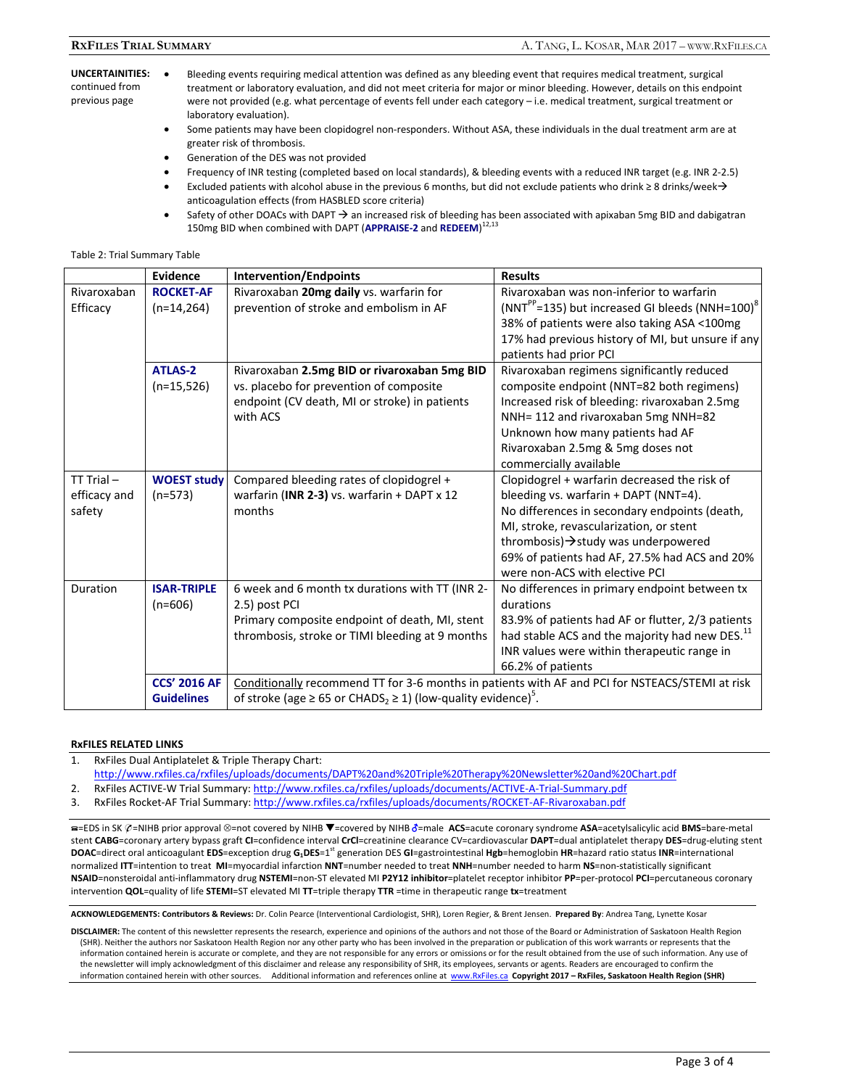#### **UNCERTAINITIES:**  continued from previous page

- Bleeding events requiring medical attention was defined as any bleeding event that requires medical treatment, surgical treatment or laboratory evaluation, and did not meet criteria for major or minor bleeding. However, details on this endpoint were not provided (e.g. what percentage of events fell under each category – i.e. medical treatment, surgical treatment or laboratory evaluation).
	- Some patients may have been clopidogrel non-responders. Without ASA, these individuals in the dual treatment arm are at greater risk of thrombosis.
	- Generation of the DES was not provided
	- Frequency of INR testing (completed based on local standards), & bleeding events with a reduced INR target (e.g. INR 2-2.5)
	- Excluded patients with alcohol abuse in the previous 6 months, but did not exclude patients who drink ≥ 8 drinks/week $\rightarrow$ anticoagulation effects (from HASBLED score criteria)
	- Safety of other DOACs with DAPT  $\rightarrow$  an increased risk of bleeding has been associated with apixaban 5mg BID and dabigatran 150mg BID when combined with DAPT (**APPRAISE-2** and **REDEEM**) 12,13

#### Table 2: Trial Summary Table

|                                          | <b>Evidence</b>                          | <b>Intervention/Endpoints</b>                                                                                                                                                                     | <b>Results</b>                                                                                                                                                                                                                                                                                               |  |  |  |
|------------------------------------------|------------------------------------------|---------------------------------------------------------------------------------------------------------------------------------------------------------------------------------------------------|--------------------------------------------------------------------------------------------------------------------------------------------------------------------------------------------------------------------------------------------------------------------------------------------------------------|--|--|--|
| Rivaroxaban<br>Efficacy                  | <b>ROCKET-AF</b><br>$(n=14,264)$         | Rivaroxaban 20mg daily vs. warfarin for<br>prevention of stroke and embolism in AF                                                                                                                | Rivaroxaban was non-inferior to warfarin<br>(NNT <sup>PP</sup> =135) but increased GI bleeds (NNH=100) <sup>8</sup><br>38% of patients were also taking ASA <100mg<br>17% had previous history of MI, but unsure if any<br>patients had prior PCI                                                            |  |  |  |
|                                          | <b>ATLAS-2</b><br>$(n=15,526)$           | Rivaroxaban 2.5mg BID or rivaroxaban 5mg BID<br>vs. placebo for prevention of composite<br>endpoint (CV death, MI or stroke) in patients<br>with ACS                                              | Rivaroxaban regimens significantly reduced<br>composite endpoint (NNT=82 both regimens)<br>Increased risk of bleeding: rivaroxaban 2.5mg<br>NNH= 112 and rivaroxaban 5mg NNH=82<br>Unknown how many patients had AF<br>Rivaroxaban 2.5mg & 5mg doses not<br>commercially available                           |  |  |  |
| $TT$ Trial $-$<br>efficacy and<br>safety | <b>WOEST study</b><br>$(n=573)$          | Compared bleeding rates of clopidogrel +<br>warfarin (INR 2-3) vs. warfarin + DAPT x 12<br>months                                                                                                 | Clopidogrel + warfarin decreased the risk of<br>bleeding vs. warfarin + DAPT (NNT=4).<br>No differences in secondary endpoints (death,<br>MI, stroke, revascularization, or stent<br>thrombosis) > study was underpowered<br>69% of patients had AF, 27.5% had ACS and 20%<br>were non-ACS with elective PCI |  |  |  |
| Duration                                 | <b>ISAR-TRIPLE</b><br>$(n=606)$          | 6 week and 6 month tx durations with TT (INR 2-<br>2.5) post PCI<br>Primary composite endpoint of death, MI, stent<br>thrombosis, stroke or TIMI bleeding at 9 months                             | No differences in primary endpoint between tx<br>durations<br>83.9% of patients had AF or flutter, 2/3 patients<br>had stable ACS and the majority had new DES. <sup>11</sup><br>INR values were within therapeutic range in<br>66.2% of patients                                                            |  |  |  |
|                                          | <b>CCS' 2016 AF</b><br><b>Guidelines</b> | Conditionally recommend TT for 3-6 months in patients with AF and PCI for NSTEACS/STEMI at risk<br>of stroke (age $\geq$ 65 or CHADS <sub>2</sub> $\geq$ 1) (low-quality evidence) <sup>5</sup> . |                                                                                                                                                                                                                                                                                                              |  |  |  |

#### **RxFILES RELATED LINKS**

- 1. RxFiles Dual Antiplatelet & Triple Therapy Chart: http://www.rxfiles.ca/rxfiles/uploads/documents/DAPT%20and%20Triple%20Therapy%20Newsletter%20and%20Chart.pdf
- 2. RxFiles ACTIVE-W Trial Summary: http://www.rxfiles.ca/rxfiles/uploads/documents/ACTIVE-A-Trial-Summary.pdf
- 3. RxFiles Rocket-AF Trial Summary: http://www.rxfiles.ca/rxfiles/uploads/documents/ROCKET-AF-Rivaroxaban.pdf

a=EDS in SK  $\mathcal{O}$ =NIHB prior approval ⊗=not covered by NIHB ▼=covered by NIHB ∂=male **ACS**=acute coronary syndrome **ASA**=acetylsalicylic acid BMS=bare-metal stent **CABG**=coronary artery bypass graft **CI**=confidence interval **CrCl**=creatinine clearance CV=cardiovascular **DAPT**=dual antiplatelet therapy **DES**=drug-eluting stent **DOAC**=direct oral anticoagulant **EDS**=exception drug **G1DES**=1st generation DES **GI**=gastrointestinal **Hgb**=hemoglobin **HR**=hazard ratio status **INR**=international normalized **ITT**=intention to treat **MI**=myocardial infarction **NNT**=number needed to treat **NNH**=number needed to harm **NS**=non-statistically significant **NSAID**=nonsteroidal anti-inflammatory drug **NSTEMI**=non-ST elevated MI **P2Y12 inhibitor**=platelet receptor inhibitor **PP**=per-protocol **PCI**=percutaneous coronary intervention **QOL**=quality of life **STEMI**=ST elevated MI **TT**=triple therapy **TTR** =time in therapeutic range **tx**=treatment

**ACKNOWLEDGEMENTS: Contributors & Reviews:** Dr. Colin Pearce (Interventional Cardiologist, SHR), Loren Regier, & Brent Jensen. **Prepared By**: Andrea Tang, Lynette Kosar

**DISCLAIMER:** The content of this newsletter represents the research, experience and opinions of the authors and not those of the Board or Administration of Saskatoon Health Region (SHR). Neither the authors nor Saskatoon Health Region nor any other party who has been involved in the preparation or publication of this work warrants or represents that the information contained herein is accurate or complete, and they are not responsible for any errors or omissions or for the result obtained from the use of such information. Any use of the newsletter will imply acknowledgment of this disclaimer and release any responsibility of SHR, its employees, servants or agents. Readers are encouraged to confirm the information contained herein with other sources. Additional information and references online at www.RxFiles.ca Copyright 2017 - RxFiles, Saskatoon Health Region (SHR)